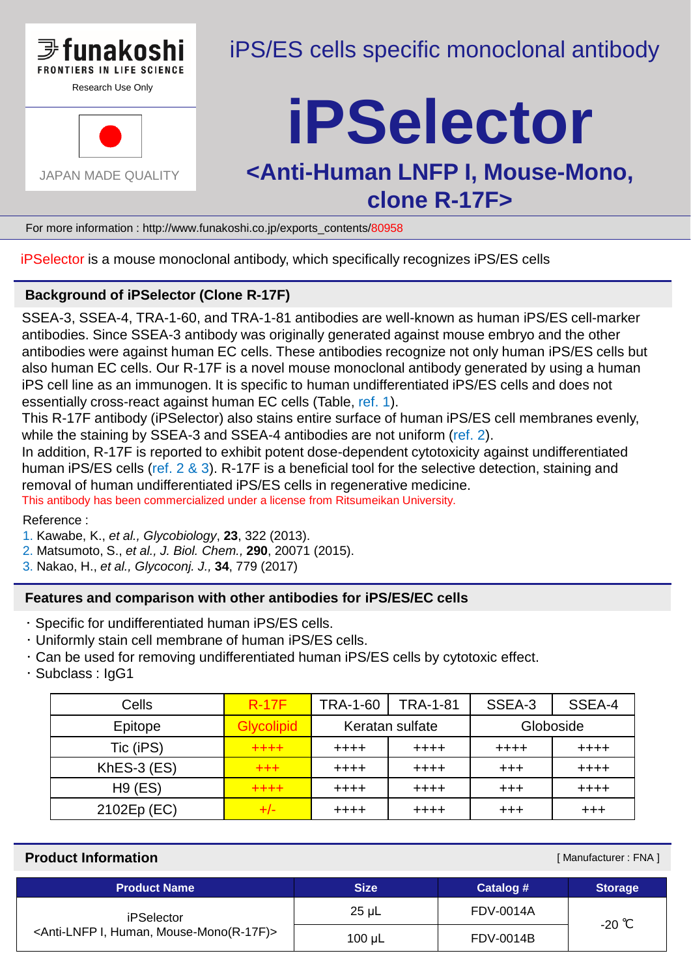

Research Use Only



## iPS/ES cells specific monoclonal antibody

# **iPSelector**

### **<Anti-Human LNFP I, Mouse-Mono, clone R-17F>**

For more information : http://www.funakoshi.co.jp/exports\_contents/80958

iPSelector is a mouse monoclonal antibody, which specifically recognizes iPS/ES cells

#### **Background of iPSelector (Clone R-17F)**

SSEA-3, SSEA-4, TRA-1-60, and TRA-1-81 antibodies are well-known as human iPS/ES cell-marker antibodies. Since SSEA-3 antibody was originally generated against mouse embryo and the other antibodies were against human EC cells. These antibodies recognize not only human iPS/ES cells but also human EC cells. Our R-17F is a novel mouse monoclonal antibody generated by using a human iPS cell line as an immunogen. It is specific to human undifferentiated iPS/ES cells and does not essentially cross-react against human EC cells (Table, ref. 1).

This R-17F antibody (iPSelector) also stains entire surface of human iPS/ES cell membranes evenly, while the staining by SSEA-3 and SSEA-4 antibodies are not uniform (ref. 2).

In addition, R-17F is reported to exhibit potent dose-dependent cytotoxicity against undifferentiated human iPS/ES cells (ref. 2 & 3). R-17F is a beneficial tool for the selective detection, staining and removal of human undifferentiated iPS/ES cells in regenerative medicine.

This antibody has been commercialized under a license from Ritsumeikan University.

Reference :

- 1. Kawabe, K., *et al., Glycobiology*, **23**, 322 (2013).
- 2. Matsumoto, S., *et al., J. Biol. Chem.,* **290**, 20071 (2015).
- 3. Nakao, H., *et al., Glycoconj. J.,* **34**, 779 (2017)

#### **Features and comparison with other antibodies for iPS/ES/EC cells**

- ・ Specific for undifferentiated human iPS/ES cells.
- ・ Uniformly stain cell membrane of human iPS/ES cells.
- ・ Can be used for removing undifferentiated human iPS/ES cells by cytotoxic effect.
- ・ Subclass : IgG1

| Cells         | <b>R-17F</b>      | <b>TRA-1-60</b> | <b>TRA-1-81</b> | SSEA-3    | SSEA-4    |
|---------------|-------------------|-----------------|-----------------|-----------|-----------|
| Epitope       | <b>Glycolipid</b> | Keratan sulfate |                 | Globoside |           |
| Tic (iPS)     | $+ + + +$         | $+ + + +$       | $+ + + +$       | $+ + + +$ | $+ + + +$ |
| $KhES-3$ (ES) | $+ + +$           | $+ + + +$       | $+ + + +$       | $+++$     | $+ + + +$ |
| $H9$ (ES)     | $+ + + +$         | $+ + + +$       | $+ + + +$       | $+++$     | $+ + + +$ |
| 2102Ep (EC)   | $+/-$             | $+ + + +$       | $+ + + +$       | $+++$     | $+++$     |

#### **Product Information**

[ Manufacturer : FNA ]

| <b>Product Name</b>                                                        | <b>Size</b> | Catalog #        | <b>Storage</b> |  |
|----------------------------------------------------------------------------|-------------|------------------|----------------|--|
| iPSelector<br><anti-lnfp human,="" i,="" mouse-mono(r-17f)=""></anti-lnfp> | $25 \mu L$  | <b>FDV-0014A</b> | $-20$ °C       |  |
|                                                                            | $100 \mu L$ | <b>FDV-0014B</b> |                |  |